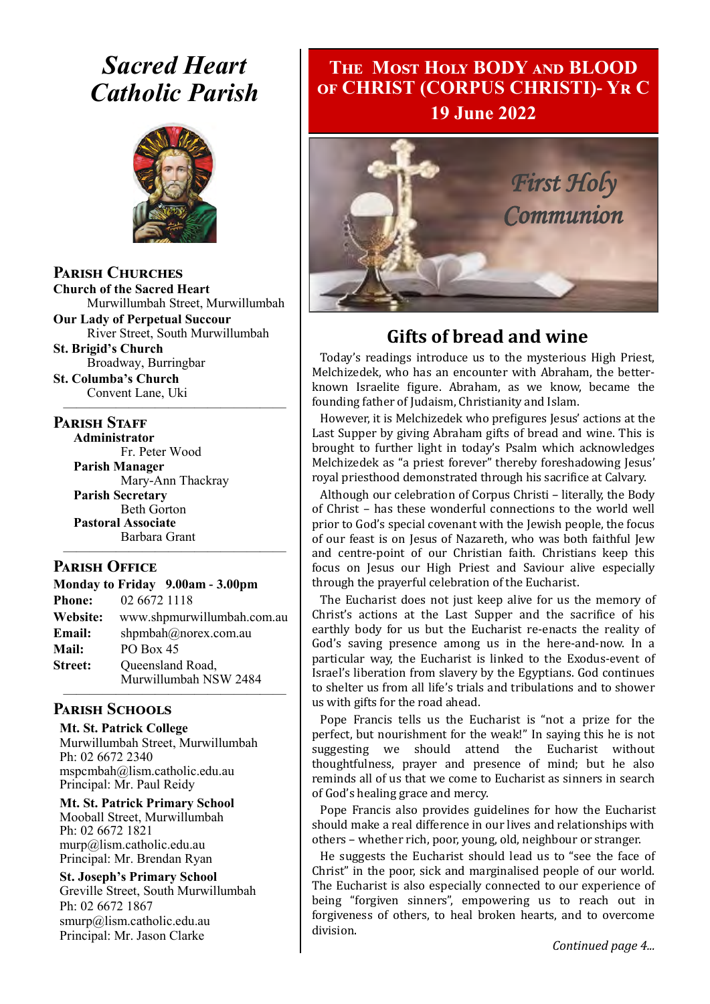# *Sacred Heart Catholic Parish*



**Parish Churches**

**Church of the Sacred Heart** Murwillumbah Street, Murwillumbah

**Our Lady of Perpetual Succour** River Street, South Murwillumbah **St. Brigid's Church**

—————————————————

Broadway, Burringbar **St. Columba's Church** Convent Lane, Uki

#### **PARISH STAFF**

**Administrator** Fr. Peter Wood **Parish Manager** Mary-Ann Thackray **Parish Secretary** Beth Gorton **Pastoral Associate** Barbara Grant

#### **Parish Office**

**Monday to Friday 9.00am - 3.00pm Phone:** 02 6672 1118 **Website:** www.shpmurwillumbah.com.au **Email:** shpmbah@norex.com.au **Mail:** PO Box 45 **Street:** Oueensland Road, Murwillumbah NSW 2484

—————————————————

#### ————————————————— **Parish Schools**

**Mt. St. Patrick College** Murwillumbah Street, Murwillumbah Ph: 02 6672 2340 mspcmbah@lism.catholic.edu.au Principal: Mr. Paul Reidy

**Mt. St. Patrick Primary School** Mooball Street, Murwillumbah Ph: 02 6672 1821 murp@lism.catholic.edu.au Principal: Mr. Brendan Ryan

**St. Joseph's Primary School** Greville Street, South Murwillumbah Ph: 02 6672 1867 smurp@lism.catholic.edu.au Principal: Mr. Jason Clarke

# **The Most Holy BODY and BLOOD of CHRIST (CORPUS CHRISTI)- Yr C 19 June 2022**



# **Gifts of bread and wine**

Today's readings introduce us to the mysterious High Priest, Melchizedek, who has an encounter with Abraham, the betterknown Israelite figure. Abraham, as we know, became the founding father of Judaism, Christianity and Islam.

However, it is Melchizedek who prefigures Jesus' actions at the Last Supper by giving Abraham gifts of bread and wine. This is brought to further light in today's Psalm which acknowledges Melchizedek as "a priest forever" thereby foreshadowing Jesus' royal priesthood demonstrated through his sacrifice at Calvary.

Although our celebration of Corpus Christi – literally, the Body of Christ – has these wonderful connections to the world well prior to God's special covenant with the Jewish people, the focus of our feast is on Jesus of Nazareth, who was both faithful Jew and centre-point of our Christian faith. Christians keep this focus on Jesus our High Priest and Saviour alive especially through the prayerful celebration of the Eucharist.

The Eucharist does not just keep alive for us the memory of Christ's actions at the Last Supper and the sacrifice of his earthly body for us but the Eucharist re-enacts the reality of God's saving presence among us in the here-and-now. In a particular way, the Eucharist is linked to the Exodus-event of Israel's liberation from slavery by the Egyptians. God continues to shelter us from all life's trials and tribulations and to shower us with gifts for the road ahead.

Pope Francis tells us the Eucharist is "not a prize for the perfect, but nourishment for the weak!" In saying this he is not suggesting we should attend the Eucharist without thoughtfulness, prayer and presence of mind; but he also reminds all of us that we come to Eucharist as sinners in search of God's healing grace and mercy.

Pope Francis also provides guidelines for how the Eucharist should make a real difference in our lives and relationships with others – whether rich, poor, young, old, neighbour or stranger.

He suggests the Eucharist should lead us to "see the face of Christ" in the poor, sick and marginalised people of our world. The Eucharist is also especially connected to our experience of being "forgiven sinners", empowering us to reach out in forgiveness of others, to heal broken hearts, and to overcome division.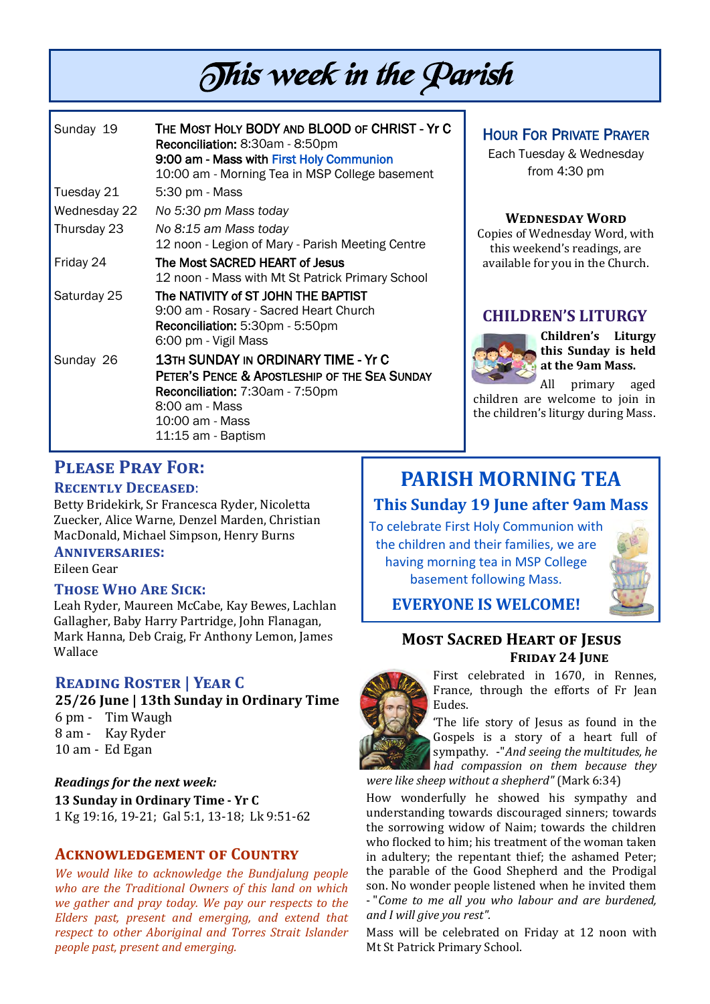# This week in the Parish

| Sunday 19    | THE MOST HOLY BODY AND BLOOD OF CHRIST - Yr C<br>Reconciliation: 8:30am - 8:50pm                                                                                                          |
|--------------|-------------------------------------------------------------------------------------------------------------------------------------------------------------------------------------------|
|              | 9:00 am - Mass with First Holy Communion<br>10:00 am - Morning Tea in MSP College basement                                                                                                |
| Tuesday 21   | 5:30 pm - Mass                                                                                                                                                                            |
| Wednesday 22 | No 5:30 pm Mass today                                                                                                                                                                     |
| Thursday 23  | No 8:15 am Mass today<br>12 noon - Legion of Mary - Parish Meeting Centre                                                                                                                 |
| Friday 24    | The Most SACRED HEART of Jesus<br>12 noon - Mass with Mt St Patrick Primary School                                                                                                        |
| Saturday 25  | The NATIVITY of ST JOHN THE BAPTIST<br>9:00 am - Rosary - Sacred Heart Church<br>Reconciliation: 5:30pm - 5:50pm<br>6:00 pm - Vigil Mass                                                  |
| Sunday 26    | <b>13TH SUNDAY IN ORDINARY TIME - Yr C</b><br>PETER'S PENCE & APOSTLESHIP OF THE SEA SUNDAY<br>Reconciliation: 7:30am - 7:50pm<br>8:00 am - Mass<br>10:00 am - Mass<br>11:15 am - Baptism |

### HOUR FOR PRIVATE PRAYER

Each Tuesday & Wednesday from 4:30 pm

#### **Wednesday Word**

Copies of Wednesday Word, with this weekend's readings, are available for you in the Church.

#### **CHILDREN'S LITURGY**



**Children's Liturgy this Sunday is held at the 9am Mass.** 

All primary aged children are welcome to join in the children's liturgy during Mass.

#### **Please Pray For: Recently Deceased**:

Betty Bridekirk, Sr Francesca Ryder, Nicoletta Zuecker, Alice Warne, Denzel Marden, Christian MacDonald, Michael Simpson, Henry Burns

#### **Anniversaries:**

Eileen Gear

#### **Those Who Are Sick:**

Leah Ryder, Maureen McCabe, Kay Bewes, Lachlan Gallagher, Baby Harry Partridge, John Flanagan, Mark Hanna, Deb Craig, Fr Anthony Lemon, James Wallace

#### **Reading Roster | Year C**

**25/26 June | 13th Sunday in Ordinary Time** 6 pm - Tim Waugh 8 am - Kay Ryder 10 am - Ed Egan

*Readings for the next week:*  **13 Sunday in Ordinary Time - Yr C**  1 Kg 19:16, 19-21; Gal 5:1, 13-18; Lk 9:51-62

#### **Acknowledgement of Country**

*We would like to acknowledge the Bundjalung people who are the Traditional Owners of this land on which we gather and pray today. We pay our respects to the Elders past, present and emerging, and extend that respect to other Aboriginal and Torres Strait Islander people past, present and emerging.* 

# **PARISH MORNING TEA**

### **This Sunday 19 June after 9am Mass**

To celebrate First Holy Communion with the children and their families, we are having morning tea in MSP College basement following Mass.



# **EVERYONE IS WELCOME!**

#### **Most Sacred Heart of Jesus FRIDAY 24 JUNE**



First celebrated in 1670, in Rennes, France, through the efforts of Fr Jean Eudes.

'The life story of Jesus as found in the Gospels is a story of a heart full of sympathy. -"*And seeing the multitudes, he had compassion on them because they were like sheep without a shepherd"* (Mark 6:34)

How wonderfully he showed his sympathy and understanding towards discouraged sinners; towards the sorrowing widow of Naim; towards the children who flocked to him; his treatment of the woman taken in adultery; the repentant thief; the ashamed Peter; the parable of the Good Shepherd and the Prodigal son. No wonder people listened when he invited them - "*Come to me all you who labour and are burdened, and I will give you rest".*

Mass will be celebrated on Friday at 12 noon with Mt St Patrick Primary School.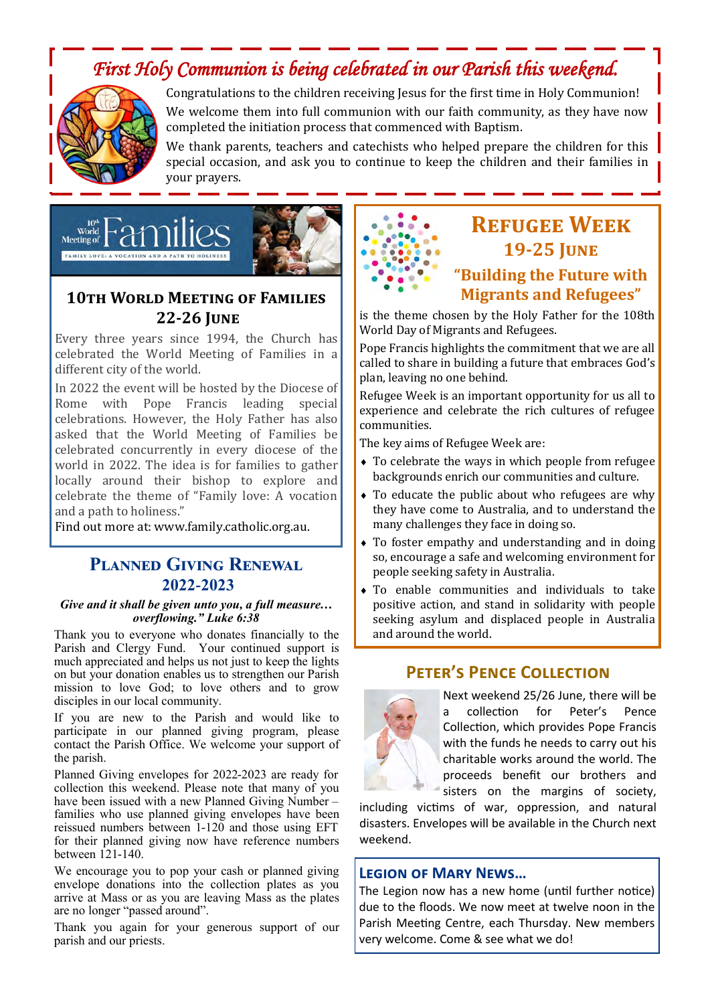# *First Holy Communion is being celebrated in our Parish this weekend.*



Congratulations to the children receiving Jesus for the first time in Holy Communion! We welcome them into full communion with our faith community, as they have now completed the initiation process that commenced with Baptism.

We thank parents, teachers and catechists who helped prepare the children for this special occasion, and ask you to continue to keep the children and their families in your prayers.



# **10th World Meeting of Families 22-26 June**

Every three years since 1994, the Church has celebrated the World Meeting of Families in a different city of the world.

In 2022 the event will be hosted by the Diocese of Rome with Pope Francis leading special celebrations. However, the Holy Father has also asked that the World Meeting of Families be celebrated concurrently in every diocese of the world in 2022. The idea is for families to gather locally around their bishop to explore and celebrate the theme of "Family love: A vocation and a path to holiness."

Find out more at: [www.family.catholic.org.au.](https://www.family.catholic.org.au/)

#### **Planned Giving Renewal 2022-2023**

#### *Give and it shall be given unto you, a full measure… overflowing." Luke 6:38*

Thank you to everyone who donates financially to the Parish and Clergy Fund. Your continued support is much appreciated and helps us not just to keep the lights on but your donation enables us to strengthen our Parish mission to love God; to love others and to grow disciples in our local community.

If you are new to the Parish and would like to participate in our planned giving program, please contact the Parish Office. We welcome your support of the parish.

Planned Giving envelopes for 2022-2023 are ready for collection this weekend. Please note that many of you have been issued with a new Planned Giving Number families who use planned giving envelopes have been reissued numbers between 1-120 and those using EFT for their planned giving now have reference numbers between 121-140.

We encourage you to pop your cash or planned giving envelope donations into the collection plates as you arrive at Mass or as you are leaving Mass as the plates are no longer "passed around".

Thank you again for your generous support of our parish and our priests.

# **Refugee Week 19-25 June**

### **"Building the Future with Migrants and Refugees"**

is the theme chosen by the Holy Father for the 108th World Day of Migrants and Refugees.

Pope Francis highlights the commitment that we are all called to share in building a future that embraces God's plan, leaving no one behind.

Refugee Week is an important opportunity for us all to experience and celebrate the rich cultures of refugee communities.

The key aims of Refugee Week are:

- To celebrate the ways in which people from refugee backgrounds enrich our communities and culture.
- To educate the public about who refugees are why they have come to Australia, and to understand the many challenges they face in doing so.
- To foster empathy and understanding and in doing so, encourage a safe and welcoming environment for people seeking safety in Australia.
- To enable communities and individuals to take positive action, and stand in solidarity with people seeking asylum and displaced people in Australia and around the world.

#### **Peter's Pence Collection**



Next weekend 25/26 June, there will be a collection for Peter's Pence Collection, which provides Pope Francis with the funds he needs to carry out his charitable works around the world. The proceeds benefit our brothers and sisters on the margins of society,

including victims of war, oppression, and natural disasters. Envelopes will be available in the Church next weekend.

#### **Legion of Mary News…**

The Legion now has a new home (until further notice) due to the floods. We now meet at twelve noon in the Parish Meeting Centre, each Thursday. New members very welcome. Come & see what we do!